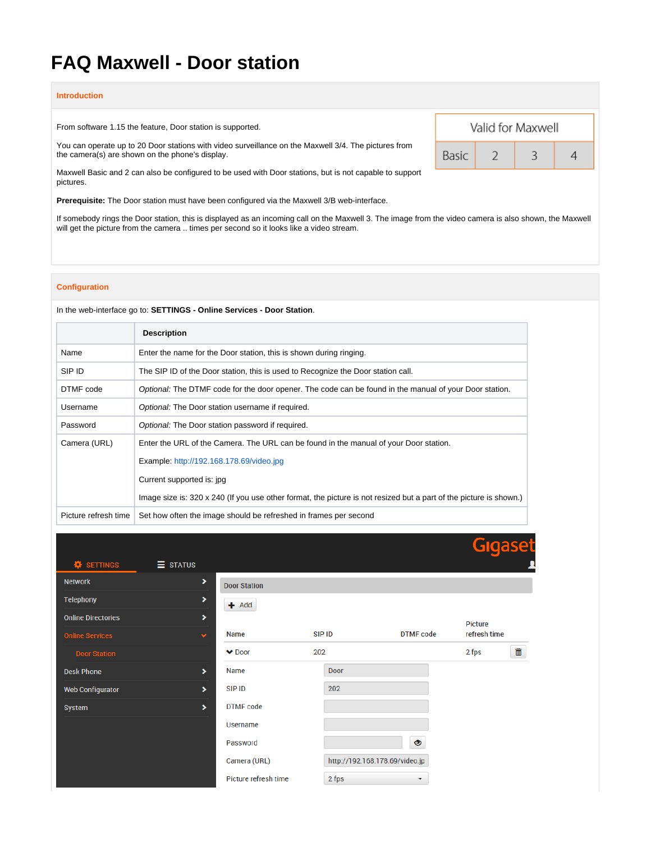# **FAQ Maxwell - Door station**

#### **Introduction**

From software 1.15 the feature, Door station is supported.

You can operate up to 20 Door stations with video surveillance on the Maxwell 3/4. The pictures from the camera(s) are shown on the phone's display.

Maxwell Basic and 2 can also be configured to be used with Door stations, but is not capable to support pictures.

**Prerequisite:** The Door station must have been configured via the Maxwell 3/B web-interface.

If somebody rings the Door station, this is displayed as an incoming call on the Maxwell 3. The image from the video camera is also shown, the Maxwell will get the picture from the camera .. times per second so it looks like a video stream.

#### **Configuration**

In the web-interface go to: **SETTINGS - Online Services - Door Station**.

|                      | <b>Description</b>                                                                                                 |
|----------------------|--------------------------------------------------------------------------------------------------------------------|
| Name                 | Enter the name for the Door station, this is shown during ringing.                                                 |
| SIP ID               | The SIP ID of the Door station, this is used to Recognize the Door station call.                                   |
| DTMF code            | Optional: The DTMF code for the door opener. The code can be found in the manual of your Door station.             |
| Username             | Optional: The Door station username if required.                                                                   |
| Password             | Optional: The Door station password if required.                                                                   |
| Camera (URL)         | Enter the URL of the Camera. The URL can be found in the manual of your Door station.                              |
|                      | Example: http://192.168.178.69/video.jpg                                                                           |
|                      | Current supported is: jpg                                                                                          |
|                      | Image size is: 320 x 240 (If you use other format, the picture is not resized but a part of the picture is shown.) |
| Picture refresh time | Set how often the image should be refreshed in frames per second                                                   |

 $\equiv$  STATUS **#** SETTINGS **Network**  $\rightarrow$ **Door Station** Telephony ٠  $+$  Add **Online Directories** Picture Name SIP ID **DTMF** code refresh time 2 fps  $\blacktriangleright$  Door 202 畵 **Desk Phone**  $\rightarrow$ Name Door **Web Configurator**  $\blacktriangleright$ SIP ID 202 System **DTMF** code Username  $\bullet$ Password Camera (URL) http://192.168.178.69/video.jp Picture refresh time 2 fps  $\overline{\phantom{a}}$ 

| Valid for Maxwell |  |  |  |  |  |  |  |
|-------------------|--|--|--|--|--|--|--|
| Basic             |  |  |  |  |  |  |  |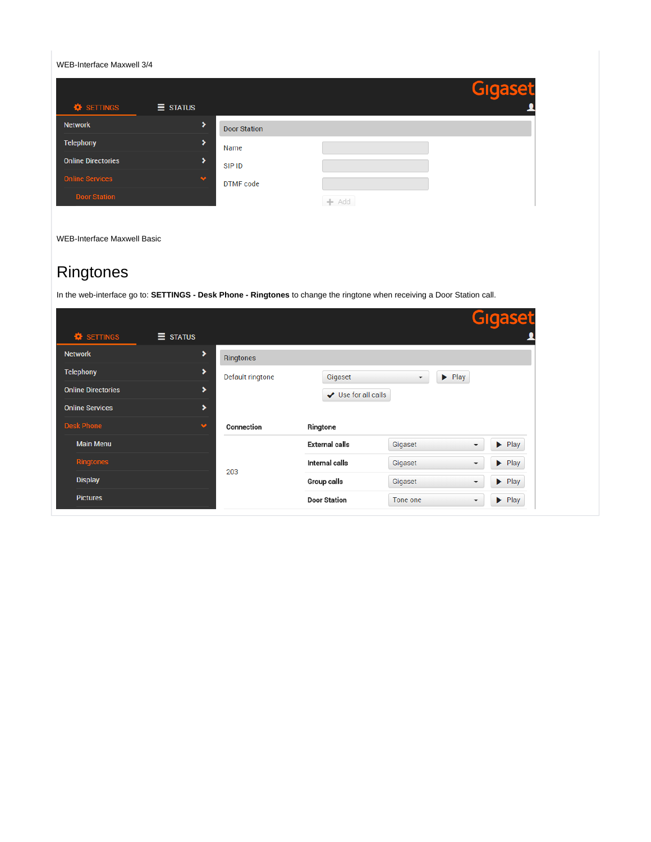WEB-Interface Maxwell 3/4

|                                               |                 |                     |         | <b>Gigaset</b> |
|-----------------------------------------------|-----------------|---------------------|---------|----------------|
| <b><math>\hat{\mathbf{z}}</math></b> SETTINGS | $\equiv$ STATUS |                     |         |                |
| <b>Network</b>                                | ⋗               | <b>Door Station</b> |         |                |
| <b>Telephony</b>                              | >               | Name                |         |                |
| <b>Online Directories</b>                     | >               | SIP ID              |         |                |
| <b>Online Services</b>                        | $\bullet$       | DTMF code           |         |                |
| <b>Door Station</b>                           |                 |                     | $+$ Add |                |

WEB-Interface Maxwell Basic

## Ringtones

In the web-interface go to: **SETTINGS - Desk Phone - Ringtones** to change the ringtone when receiving a Door Station call.

|                                      |                 |                  |                          |                          |                            | Gigaset                    |
|--------------------------------------|-----------------|------------------|--------------------------|--------------------------|----------------------------|----------------------------|
| <b><math>\bullet</math></b> SETTINGS | $\equiv$ STATUS |                  |                          |                          |                            |                            |
| <b>Network</b>                       | ٠               | Ringtones        |                          |                          |                            |                            |
| Telephony                            | ٠               | Default ringtone | Gigaset                  | $\overline{\phantom{a}}$ | $\blacktriangleright$ Play |                            |
| <b>Online Directories</b>            | ٠               |                  | $\vee$ Use for all calls |                          |                            |                            |
| <b>Online Services</b>               | ٠               |                  |                          |                          |                            |                            |
| <b>Desk Phone</b>                    | $\bullet$       | Connection       | Ringtone                 |                          |                            |                            |
| <b>Main Menu</b>                     |                 |                  | <b>External calls</b>    | Gigaset                  | $\cdot$                    | $\blacktriangleright$ Play |
| <b>Ringtones</b>                     |                 | 203              | Internal calls           | Gigaset                  | $\overline{\phantom{a}}$   | $\blacktriangleright$ Play |
| <b>Display</b>                       |                 |                  | Group calls              | Gigaset                  | $\overline{\phantom{a}}$   | $\blacktriangleright$ Play |
| <b>Pictures</b>                      |                 |                  | <b>Door Station</b>      | Tone one                 | ▼                          | $\blacktriangleright$ Play |